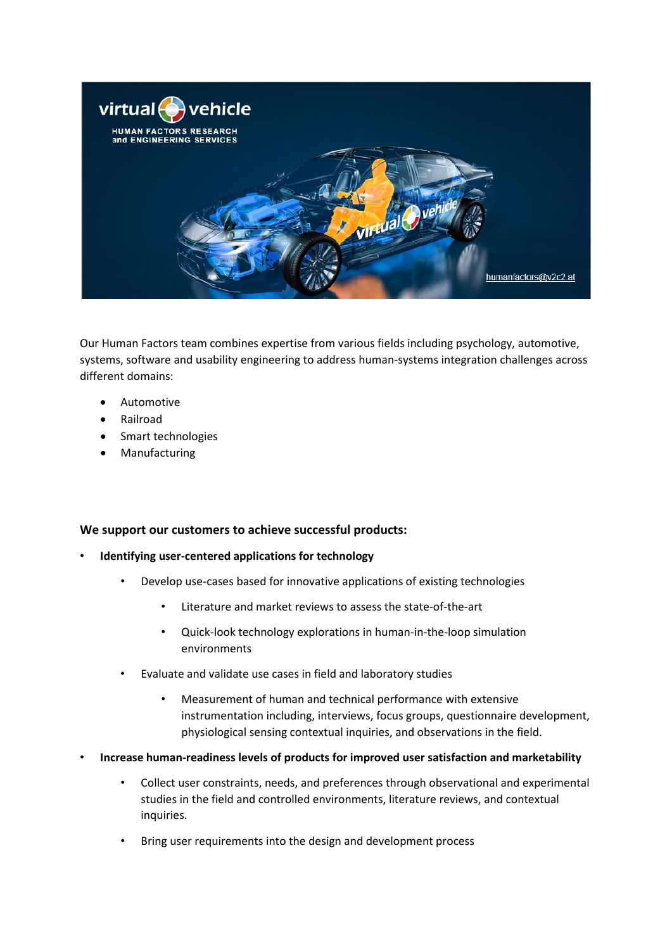

Our Human Factors team combines expertise from various fields including psychology, automotive, systems, software and usability engineering to address human-systems integration challenges across different domains:

- Automotive
- Railroad
- Smart technologies
- **Manufacturing**

## **We support our customers to achieve successful products:**

- **Identifying user-centered applications for technology** 
	- Develop use-cases based for innovative applications of existing technologies
		- Literature and market reviews to assess the state-of-the-art
		- Quick-look technology explorations in human-in-the-loop simulation environments
	- Evaluate and validate use cases in field and laboratory studies
		- Measurement of human and technical performance with extensive instrumentation including, interviews, focus groups, questionnaire development, physiological sensing contextual inquiries, and observations in the field.
- **Increase human-readiness levels of products for improved user satisfaction and marketability** 
	- Collect user constraints, needs, and preferences through observational and experimental studies in the field and controlled environments, literature reviews, and contextual inquiries.
	- Bring user requirements into the design and development process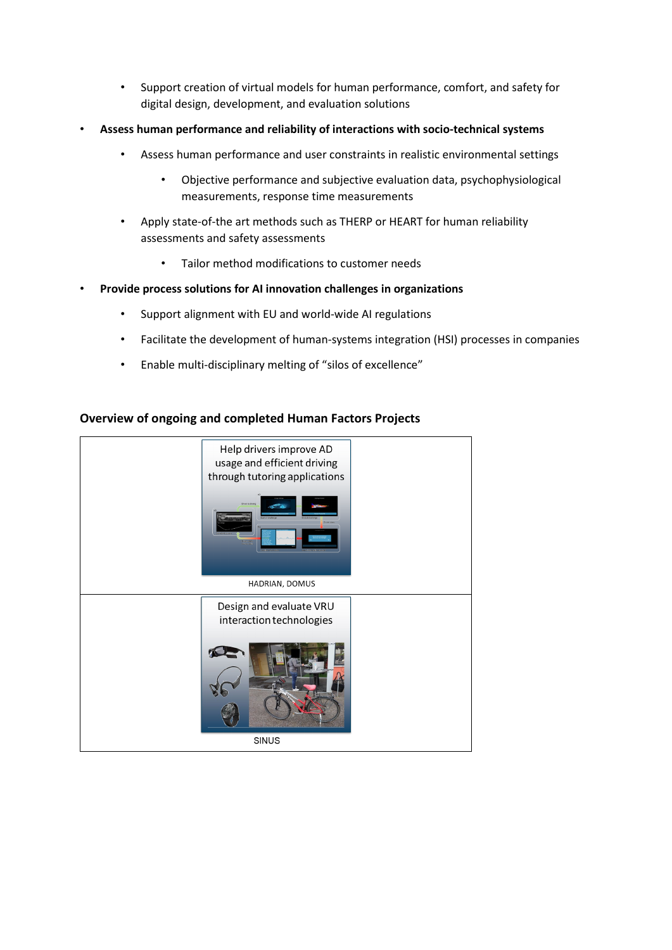- Support creation of virtual models for human performance, comfort, and safety for digital design, development, and evaluation solutions
- **Assess human performance and reliability of interactions with socio-technical systems**
	- Assess human performance and user constraints in realistic environmental settings
		- Objective performance and subjective evaluation data, psychophysiological measurements, response time measurements
	- Apply state-of-the art methods such as THERP or HEART for human reliability assessments and safety assessments
		- Tailor method modifications to customer needs
- **Provide process solutions for AI innovation challenges in organizations** 
	- Support alignment with EU and world-wide AI regulations
	- Facilitate the development of human-systems integration (HSI) processes in companies
	- Enable multi-disciplinary melting of "silos of excellence"

## **Overview of ongoing and completed Human Factors Projects**

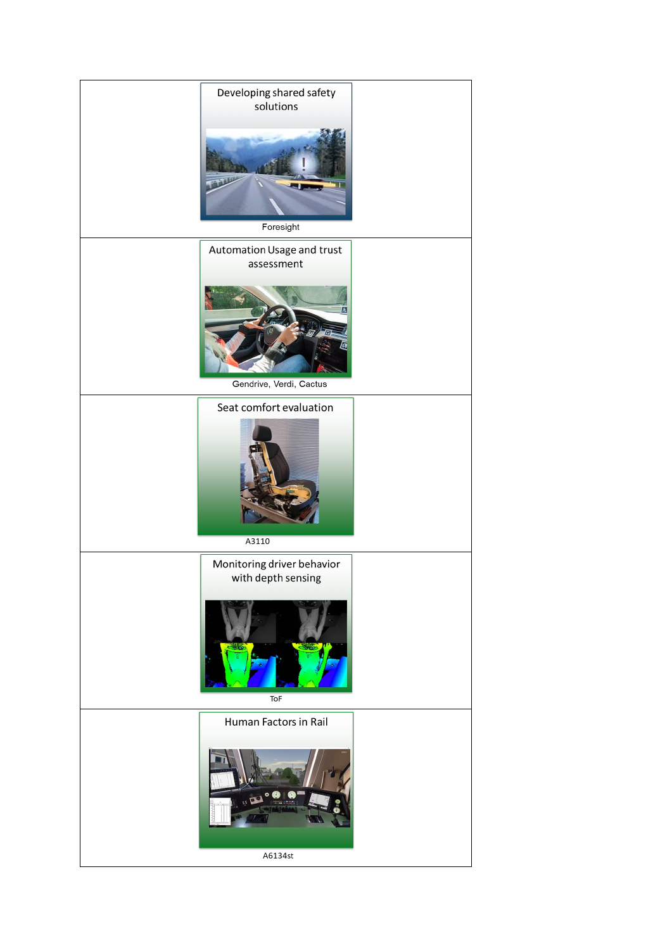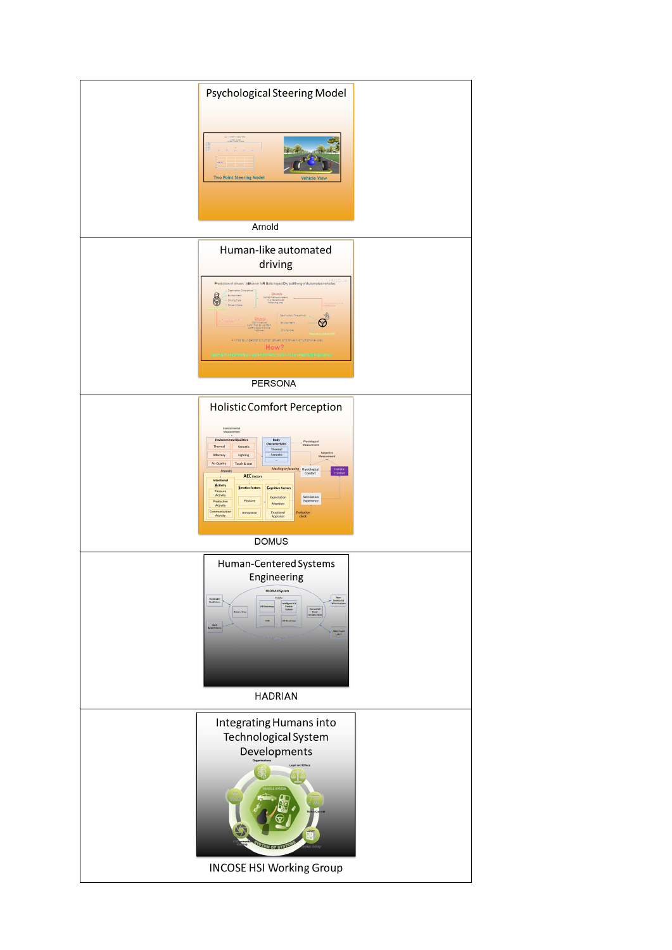